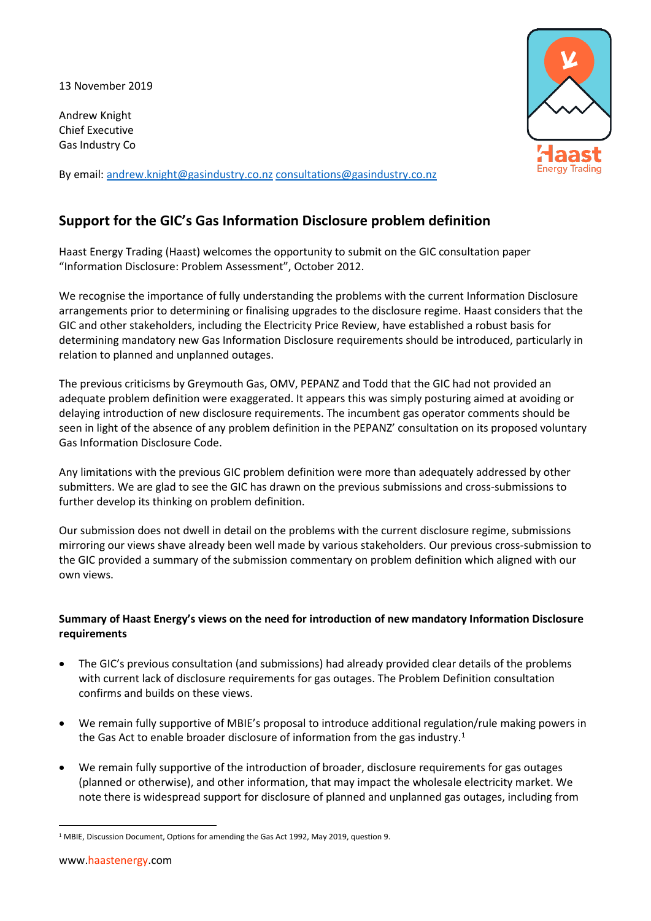13 November 2019

Andrew Knight Chief Executive Gas Industry Co

By email: [andrew.knight@gasindustry.co.nz](mailto:andrew.knight@gasindustry.co.nz) [consultations@gasindustry.co.nz](mailto:consultations@gasindustry.co.nz)



# **Support for the GIC's Gas Information Disclosure problem definition**

Haast Energy Trading (Haast) welcomes the opportunity to submit on the GIC consultation paper "Information Disclosure: Problem Assessment", October 2012.

We recognise the importance of fully understanding the problems with the current Information Disclosure arrangements prior to determining or finalising upgrades to the disclosure regime. Haast considers that the GIC and other stakeholders, including the Electricity Price Review, have established a robust basis for determining mandatory new Gas Information Disclosure requirements should be introduced, particularly in relation to planned and unplanned outages.

The previous criticisms by Greymouth Gas, OMV, PEPANZ and Todd that the GIC had not provided an adequate problem definition were exaggerated. It appears this was simply posturing aimed at avoiding or delaying introduction of new disclosure requirements. The incumbent gas operator comments should be seen in light of the absence of any problem definition in the PEPANZ' consultation on its proposed voluntary Gas Information Disclosure Code.

Any limitations with the previous GIC problem definition were more than adequately addressed by other submitters. We are glad to see the GIC has drawn on the previous submissions and cross-submissions to further develop its thinking on problem definition.

Our submission does not dwell in detail on the problems with the current disclosure regime, submissions mirroring our views shave already been well made by various stakeholders. Our previous cross-submission to the GIC provided a summary of the submission commentary on problem definition which aligned with our own views.

## **Summary of Haast Energy's views on the need for introduction of new mandatory Information Disclosure requirements**

- The GIC's previous consultation (and submissions) had already provided clear details of the problems with current lack of disclosure requirements for gas outages. The Problem Definition consultation confirms and builds on these views.
- We remain fully supportive of MBIE's proposal to introduce additional regulation/rule making powers in the Gas Act to enable broader disclosure of information from the gas industry.<sup>[1](#page-0-0)</sup>
- We remain fully supportive of the introduction of broader, disclosure requirements for gas outages (planned or otherwise), and other information, that may impact the wholesale electricity market. We note there is widespread support for disclosure of planned and unplanned gas outages, including from

<span id="page-0-0"></span><sup>1</sup> MBIE, Discussion Document, Options for amending the Gas Act 1992, May 2019, question 9.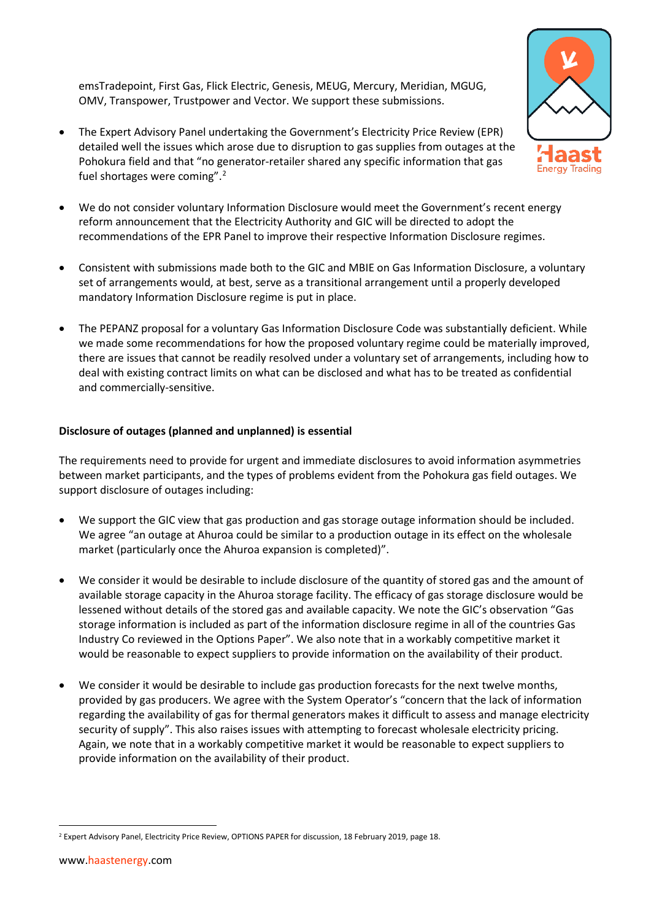emsTradepoint, First Gas, Flick Electric, Genesis, MEUG, Mercury, Meridian, MGUG, OMV, Transpower, Trustpower and Vector. We support these submissions.

- The Expert Advisory Panel undertaking the Government's Electricity Price Review (EPR) detailed well the issues which arose due to disruption to gas supplies from outages at the Pohokura field and that "no generator-retailer shared any specific information that gas fuel shortages were coming".[2](#page-1-0)
- We do not consider voluntary Information Disclosure would meet the Government's recent energy reform announcement that the Electricity Authority and GIC will be directed to adopt the recommendations of the EPR Panel to improve their respective Information Disclosure regimes.
- Consistent with submissions made both to the GIC and MBIE on Gas Information Disclosure, a voluntary set of arrangements would, at best, serve as a transitional arrangement until a properly developed mandatory Information Disclosure regime is put in place.
- The PEPANZ proposal for a voluntary Gas Information Disclosure Code was substantially deficient. While we made some recommendations for how the proposed voluntary regime could be materially improved, there are issues that cannot be readily resolved under a voluntary set of arrangements, including how to deal with existing contract limits on what can be disclosed and what has to be treated as confidential and commercially-sensitive.

## **Disclosure of outages (planned and unplanned) is essential**

The requirements need to provide for urgent and immediate disclosures to avoid information asymmetries between market participants, and the types of problems evident from the Pohokura gas field outages. We support disclosure of outages including:

- We support the GIC view that gas production and gas storage outage information should be included. We agree "an outage at Ahuroa could be similar to a production outage in its effect on the wholesale market (particularly once the Ahuroa expansion is completed)".
- We consider it would be desirable to include disclosure of the quantity of stored gas and the amount of available storage capacity in the Ahuroa storage facility. The efficacy of gas storage disclosure would be lessened without details of the stored gas and available capacity. We note the GIC's observation "Gas storage information is included as part of the information disclosure regime in all of the countries Gas Industry Co reviewed in the Options Paper". We also note that in a workably competitive market it would be reasonable to expect suppliers to provide information on the availability of their product.
- We consider it would be desirable to include gas production forecasts for the next twelve months, provided by gas producers. We agree with the System Operator's "concern that the lack of information regarding the availability of gas for thermal generators makes it difficult to assess and manage electricity security of supply". This also raises issues with attempting to forecast wholesale electricity pricing. Again, we note that in a workably competitive market it would be reasonable to expect suppliers to provide information on the availability of their product.



**Energy Trading** 

<span id="page-1-0"></span><sup>&</sup>lt;sup>2</sup> Expert Advisory Panel, Electricity Price Review, OPTIONS PAPER for discussion, 18 February 2019, page 18.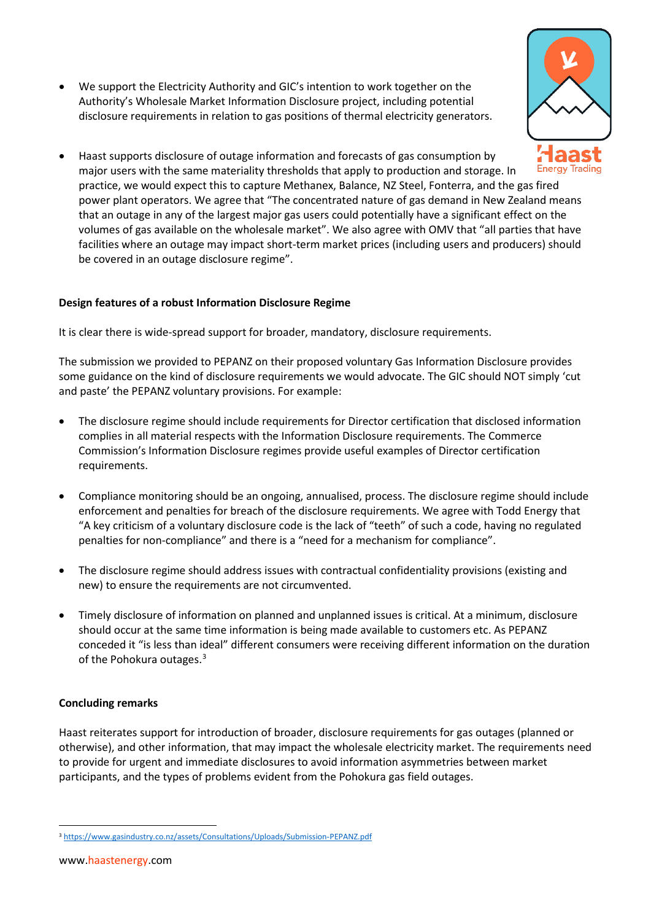• We support the Electricity Authority and GIC's intention to work together on the Authority's Wholesale Market Information Disclosure project, including potential disclosure requirements in relation to gas positions of thermal electricity generators.



• Haast supports disclosure of outage information and forecasts of gas consumption by major users with the same materiality thresholds that apply to production and storage. In practice, we would expect this to capture Methanex, Balance, NZ Steel, Fonterra, and the gas fired power plant operators. We agree that "The concentrated nature of gas demand in New Zealand means that an outage in any of the largest major gas users could potentially have a significant effect on the volumes of gas available on the wholesale market". We also agree with OMV that "all parties that have facilities where an outage may impact short-term market prices (including users and producers) should be covered in an outage disclosure regime".

#### **Design features of a robust Information Disclosure Regime**

It is clear there is wide-spread support for broader, mandatory, disclosure requirements.

The submission we provided to PEPANZ on their proposed voluntary Gas Information Disclosure provides some guidance on the kind of disclosure requirements we would advocate. The GIC should NOT simply 'cut and paste' the PEPANZ voluntary provisions. For example:

- The disclosure regime should include requirements for Director certification that disclosed information complies in all material respects with the Information Disclosure requirements. The Commerce Commission's Information Disclosure regimes provide useful examples of Director certification requirements.
- Compliance monitoring should be an ongoing, annualised, process. The disclosure regime should include enforcement and penalties for breach of the disclosure requirements. We agree with Todd Energy that "A key criticism of a voluntary disclosure code is the lack of "teeth" of such a code, having no regulated penalties for non-compliance" and there is a "need for a mechanism for compliance".
- The disclosure regime should address issues with contractual confidentiality provisions (existing and new) to ensure the requirements are not circumvented.
- Timely disclosure of information on planned and unplanned issues is critical. At a minimum, disclosure should occur at the same time information is being made available to customers etc. As PEPANZ conceded it "is less than ideal" different consumers were receiving different information on the duration of the Pohokura outages.<sup>[3](#page-2-0)</sup>

#### **Concluding remarks**

Haast reiterates support for introduction of broader, disclosure requirements for gas outages (planned or otherwise), and other information, that may impact the wholesale electricity market. The requirements need to provide for urgent and immediate disclosures to avoid information asymmetries between market participants, and the types of problems evident from the Pohokura gas field outages.

<span id="page-2-0"></span><sup>3</sup> <https://www.gasindustry.co.nz/assets/Consultations/Uploads/Submission-PEPANZ.pdf>